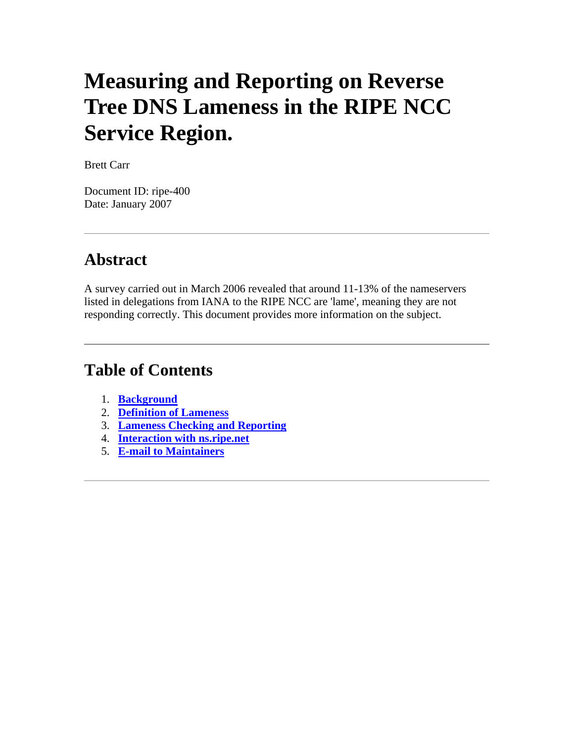# **Measuring and Reporting on Reverse Tree DNS Lameness in the RIPE NCC Service Region.**

Brett Carr

Document ID: ripe-400 Date: January 2007

#### **Abstract**

A survey carried out in March 2006 revealed that around 11-13% of the nameservers listed in delegations from IANA to the RIPE NCC are 'lame', meaning they are not responding correctly. This document provides more information on the subject.

#### **Table of Contents**

- 1. **[Background](http://test-www.ripe.net/ripe/docs/ripe-400.html#1)**
- 2. **[Definition of Lameness](http://test-www.ripe.net/ripe/docs/ripe-400.html#2)**
- 3. **[Lameness Checking and Reporting](http://test-www.ripe.net/ripe/docs/ripe-400.html#3)**
- 4. **[Interaction with ns.ripe.net](http://test-www.ripe.net/ripe/docs/ripe-400.html#4)**
- 5. **[E-mail to Maintainers](http://test-www.ripe.net/ripe/docs/ripe-400.html#5)**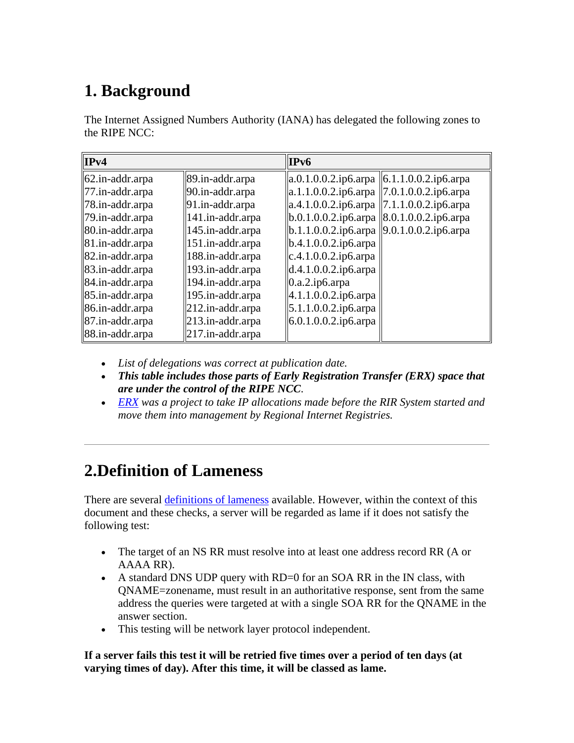## **1. Background**

The Internet Assigned Numbers Authority (IANA) has delegated the following zones to the RIPE NCC:

| IPv4                                |                     | IPv6                                                                    |  |
|-------------------------------------|---------------------|-------------------------------------------------------------------------|--|
| $ 62.in-addr.$ arpa                 | 89.in-addr.arpa     | $ a.0.1.0.0.2.i\rho 6.\text{arg}a   6.1.1.0.0.2.i\rho 6.\text{arg}a $   |  |
| $\ $ 77.in-addr.arpa                | 90.in-addr.arpa     | $ a.1.1.0.0.2.i\rho 6.\text{arg} a \  7.0.1.0.0.2.i\rho 6.\text{arg} a$ |  |
| $\vert$ 78.in-addr.arpa             | 91.in-addr.arpa     | $ a.4.1.0.0.2.i\rho 6.\text{arg} a \  7.1.1.0.0.2.i\rho 6.\text{arg} a$ |  |
| $\ $ 79.in-addr.arpa                | 141.in-addr.arpa    | $b.0.1.0.0.2$ .ip6.arpa $ 8.0.1.0.0.2$ .ip6.arpa                        |  |
| $\vert$ 80.in-addr.arpa             | 145.in-addr.arpa    | $ b.1.1.0.0.2.i\rho 6.\text{arg}a   9.0.1.0.0.2.i\rho 6.\text{arg}a $   |  |
| $\vert 81 \ldots$ and $\ldots$ arpa | 151.in-addr.arpa    | $b.4.1.0.0.2$ .ip6.arpa                                                 |  |
| $\parallel$ 82.in-addr.arpa         | 188.in-addr.arpa    | c.4.1.0.0.2.ip6.arpa                                                    |  |
| $\left  83 \right $ .in-addr.arpa   | 193.in-addr.arpa    | d.4.1.0.0.2.ip6.arpa                                                    |  |
| $\ 84$ .in-addr.arpa                | 194.in-addr.arpa    | 0.a.2.i p6. arpa                                                        |  |
| $\ 85 \text{.in-addr}$ .arpa        | 195.in-addr.arpa    | 4.1.1.0.0.2.ip6.arpa                                                    |  |
| $\left  86 \right $ . anddr. arpa   | $212.in-addr. arpa$ | 5.1.1.0.0.2.ip6.arpa                                                    |  |
| $\left  87 \right $ .in-addr.arpa   | 213.in-addr.arpa    | 6.0.1.0.0.2.ip6.arpa                                                    |  |
| 88.in-addr.arpa                     | $217.in-addr. arpa$ |                                                                         |  |

- *List of delegations was correct at publication date.*
- *This table includes those parts of Early Registration Transfer (ERX) space that are under the control of the RIPE NCC*.
- *[ERX](http://www.ripe.net/projects/erx/index.html) was a project to take IP allocations made before the RIR System started and move them into management by Regional Internet Registries.*

## **2.Definition of Lameness**

There are several [definitions of lameness](http://rfc.net/rfc1912.html) available. However, within the context of this document and these checks, a server will be regarded as lame if it does not satisfy the following test:

- The target of an NS RR must resolve into at least one address record RR (A or AAAA RR).
- A standard DNS UDP query with RD=0 for an SOA RR in the IN class, with QNAME=zonename, must result in an authoritative response, sent from the same address the queries were targeted at with a single SOA RR for the QNAME in the answer section.
- This testing will be network layer protocol independent.

**If a server fails this test it will be retried five times over a period of ten days (at varying times of day). After this time, it will be classed as lame.**